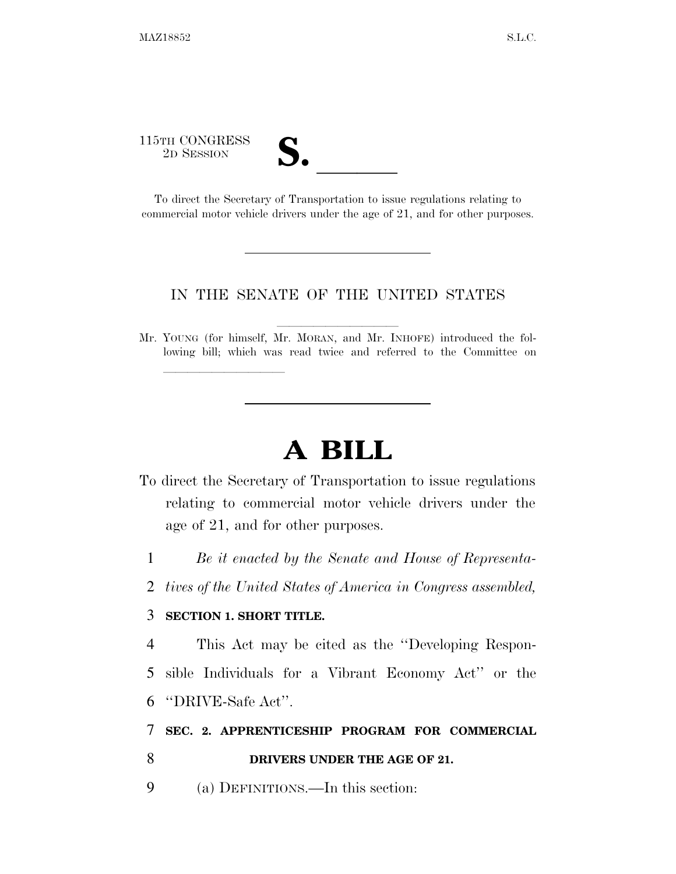# 115TH CONGRESS <sup>5</sup>TH CONGRESS<br>
<sup>2D SESSION</sup><br> **S.** <br>
To direct the Secretary of Transportation to issue regulations relating to

lle and a second control of the second control of the second control of the second control of the second control of the second control of the second control of the second control of the second control of the second control

commercial motor vehicle drivers under the age of 21, and for other purposes.

#### IN THE SENATE OF THE UNITED STATES

Mr. YOUNG (for himself, Mr. MORAN, and Mr. INHOFE) introduced the following bill; which was read twice and referred to the Committee on

## **A BILL**

- To direct the Secretary of Transportation to issue regulations relating to commercial motor vehicle drivers under the age of 21, and for other purposes.
	- 1 *Be it enacted by the Senate and House of Representa-*
	- 2 *tives of the United States of America in Congress assembled,*

#### 3 **SECTION 1. SHORT TITLE.**

4 This Act may be cited as the ''Developing Respon-5 sible Individuals for a Vibrant Economy Act'' or the 6 ''DRIVE-Safe Act''.

#### 7 **SEC. 2. APPRENTICESHIP PROGRAM FOR COMMERCIAL**

### 8 **DRIVERS UNDER THE AGE OF 21.**

9 (a) DEFINITIONS.—In this section: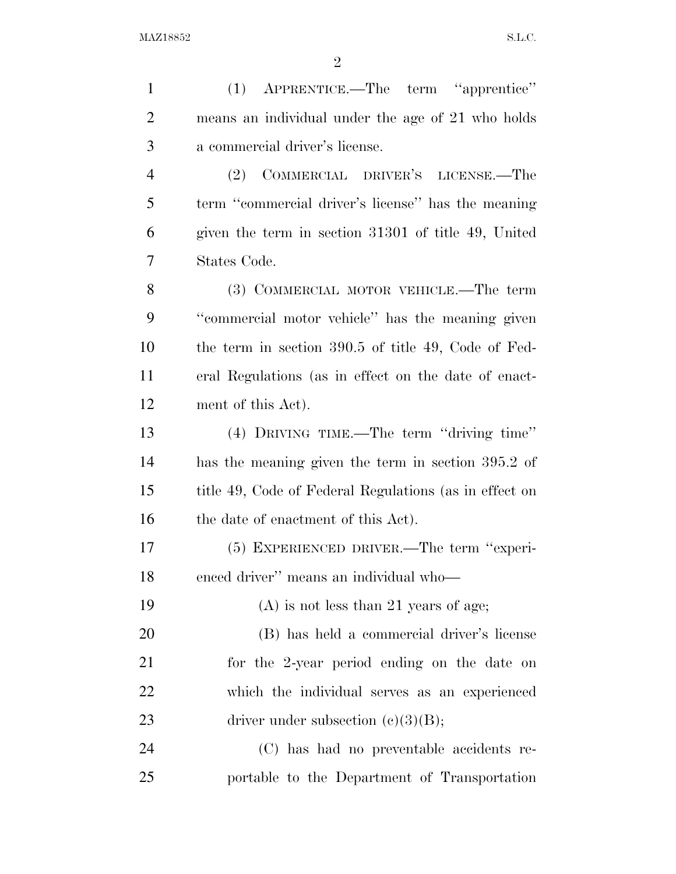| $\mathbf{1}$   | APPRENTICE.—The term "apprentice"<br>(1)               |
|----------------|--------------------------------------------------------|
| $\overline{2}$ | means an individual under the age of 21 who holds      |
| 3              | a commercial driver's license.                         |
| $\overline{4}$ | COMMERCIAL DRIVER'S LICENSE.—The<br>(2)                |
| 5              | term "commercial driver's license" has the meaning     |
| 6              | given the term in section 31301 of title 49, United    |
| 7              | States Code.                                           |
| 8              | (3) COMMERCIAL MOTOR VEHICLE.—The term                 |
| 9              | "commercial motor vehicle" has the meaning given       |
| 10             | the term in section 390.5 of title 49, Code of Fed-    |
| 11             | eral Regulations (as in effect on the date of enact-   |
| 12             | ment of this Act).                                     |
| 13             | (4) DRIVING TIME.—The term "driving time"              |
| 14             | has the meaning given the term in section 395.2 of     |
| 15             | title 49, Code of Federal Regulations (as in effect on |
| 16             | the date of enactment of this Act).                    |
| 17             | (5) EXPERIENCED DRIVER.—The term "experi-              |
| 18             | enced driver" means an individual who-                 |
| 19             | $(A)$ is not less than 21 years of age;                |
| 20             | (B) has held a commercial driver's license             |
| 21             | for the 2-year period ending on the date on            |
| 22             | which the individual serves as an experienced          |
| 23             | driver under subsection $(c)(3)(B)$ ;                  |
| 24             | (C) has had no preventable accidents re-               |
| 25             | portable to the Department of Transportation           |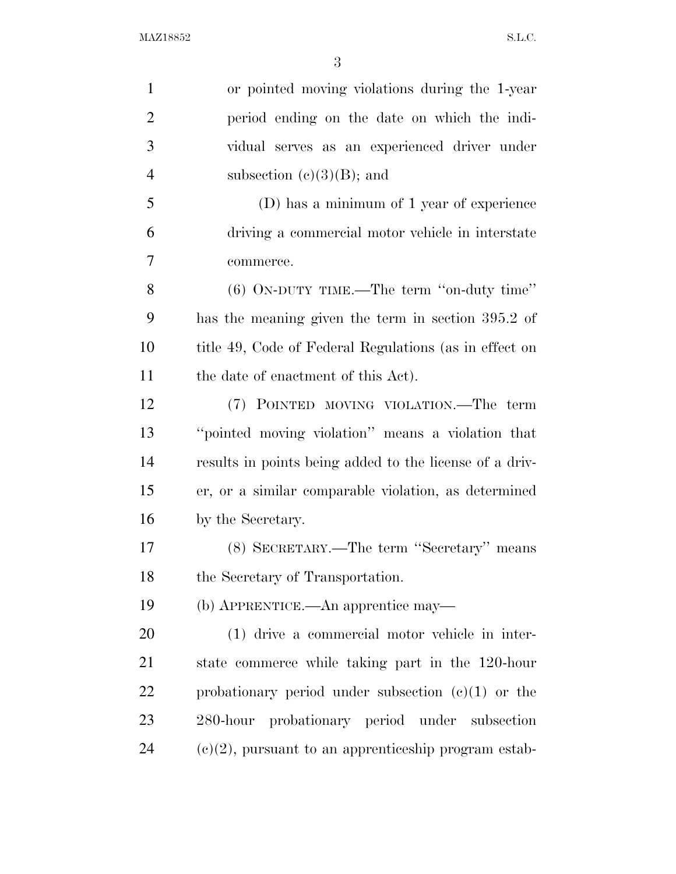$\rm MAZ18852 \qquad \qquad S.L.C.$ 

| $\mathbf{1}$   | or pointed moving violations during the 1-year          |
|----------------|---------------------------------------------------------|
| $\overline{2}$ | period ending on the date on which the indi-            |
| 3              | vidual serves as an experienced driver under            |
| $\overline{4}$ | subsection $(e)(3)(B)$ ; and                            |
| 5              | (D) has a minimum of 1 year of experience               |
| 6              | driving a commercial motor vehicle in interstate        |
| 7              | commerce.                                               |
| 8              | $(6)$ ON-DUTY TIME.—The term "on-duty time"             |
| 9              | has the meaning given the term in section 395.2 of      |
| 10             | title 49, Code of Federal Regulations (as in effect on  |
| 11             | the date of enactment of this Act).                     |
| 12             | (7) POINTED MOVING VIOLATION.—The term                  |
| 13             | "pointed moving violation" means a violation that       |
| 14             | results in points being added to the license of a driv- |
| 15             | er, or a similar comparable violation, as determined    |
| 16             | by the Secretary.                                       |
| $17\,$         | (8) SECRETARY.—The term "Secretary" means               |
| 18             | the Secretary of Transportation.                        |
| 19             | (b) APPRENTICE.—An apprentice may—                      |
| 20             | (1) drive a commercial motor vehicle in inter-          |
| 21             | state commerce while taking part in the 120-hour        |
| 22             | probationary period under subsection $(c)(1)$ or the    |
| 23             | probationary period under subsection<br>$280$ -hour     |
| 24             | $(e)(2)$ , pursuant to an apprenticeship program estab- |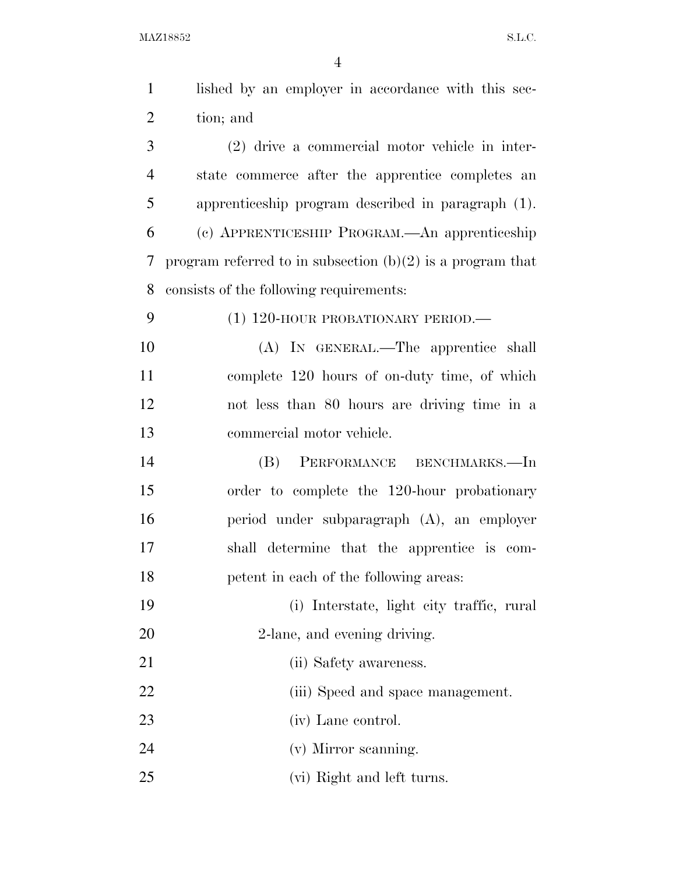$\rm MAZ18852 \qquad \qquad S.L.C.$ 

| $\mathbf{1}$   | lished by an employer in accordance with this sec-           |
|----------------|--------------------------------------------------------------|
| $\overline{2}$ | tion; and                                                    |
| 3              | (2) drive a commercial motor vehicle in inter-               |
| $\overline{4}$ | state commerce after the apprentice completes an             |
| 5              | apprenticeship program described in paragraph (1).           |
| 6              | (c) APPRENTICESHIP PROGRAM.—An apprenticeship                |
| 7              | program referred to in subsection $(b)(2)$ is a program that |
| 8              | consists of the following requirements:                      |
| 9              | $(1)$ 120-HOUR PROBATIONARY PERIOD.—                         |
| 10             | (A) IN GENERAL.—The apprentice shall                         |
| 11             | complete 120 hours of on-duty time, of which                 |
| 12             | not less than 80 hours are driving time in a                 |
| 13             | commercial motor vehicle.                                    |
| 14             | PERFORMANCE BENCHMARKS.-In<br>(B)                            |
| 15             | order to complete the 120-hour probationary                  |
| 16             | period under subparagraph (A), an employer                   |
| 17             | shall determine that the apprentice is com-                  |
| 18             | petent in each of the following areas:                       |
| 19             | (i) Interstate, light city traffic, rural                    |
| 20             | 2-lane, and evening driving.                                 |
| 21             | (ii) Safety awareness.                                       |
| 22             | (iii) Speed and space management.                            |
| 23             | (iv) Lane control.                                           |
| 24             | (v) Mirror scanning.                                         |
| 25             | (vi) Right and left turns.                                   |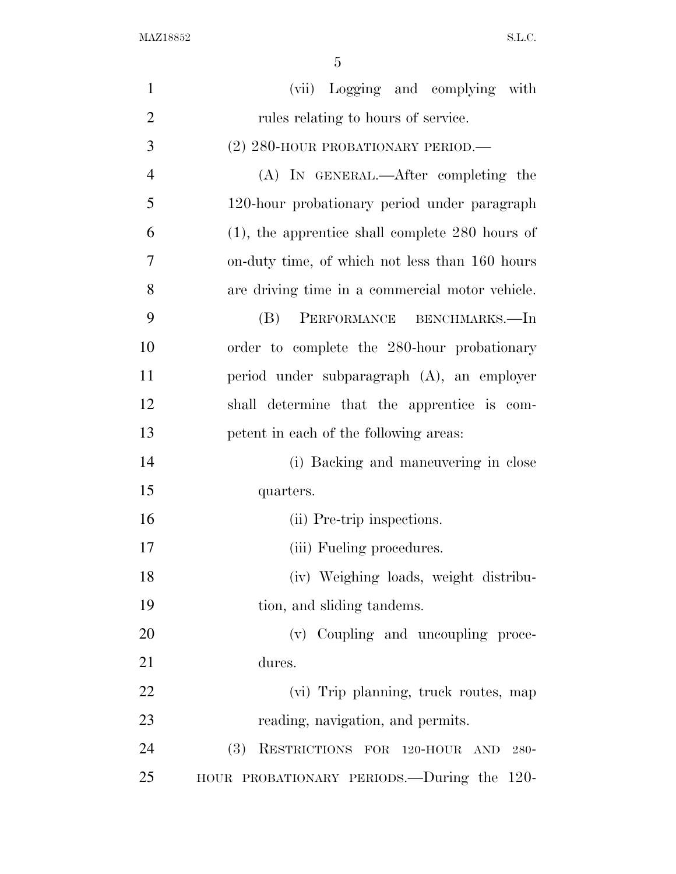$\rm MAZ18852 \qquad \qquad S.L.C.$ 

| $\mathbf{1}$   | (vii) Logging and complying with                   |
|----------------|----------------------------------------------------|
| $\overline{2}$ | rules relating to hours of service.                |
| 3              | $(2)$ 280-HOUR PROBATIONARY PERIOD.—               |
| $\overline{4}$ | (A) IN GENERAL.—After completing the               |
| 5              | 120-hour probationary period under paragraph       |
| 6              | $(1)$ , the apprentice shall complete 280 hours of |
| 7              | on-duty time, of which not less than 160 hours     |
| 8              | are driving time in a commercial motor vehicle.    |
| 9              | (B)<br>PERFORMANCE BENCHMARKS.-In                  |
| 10             | order to complete the 280-hour probationary        |
| 11             | period under subparagraph (A), an employer         |
| 12             | shall determine that the apprentice is com-        |
| 13             | petent in each of the following areas:             |
| 14             | (i) Backing and maneuvering in close               |
| 15             | quarters.                                          |
| 16             | (ii) Pre-trip inspections.                         |
| 17             | (iii) Fueling procedures.                          |
| 18             | (iv) Weighing loads, weight distribu-              |
| 19             | tion, and sliding tandems.                         |
| 20             | (v) Coupling and uncoupling proce-                 |
| 21             | dures.                                             |
| 22             | (vi) Trip planning, truck routes, map              |
| 23             | reading, navigation, and permits.                  |
| 24             | (3)<br>RESTRICTIONS FOR 120-HOUR AND<br>$280 -$    |
| 25             | HOUR PROBATIONARY PERIODS.—During the 120-         |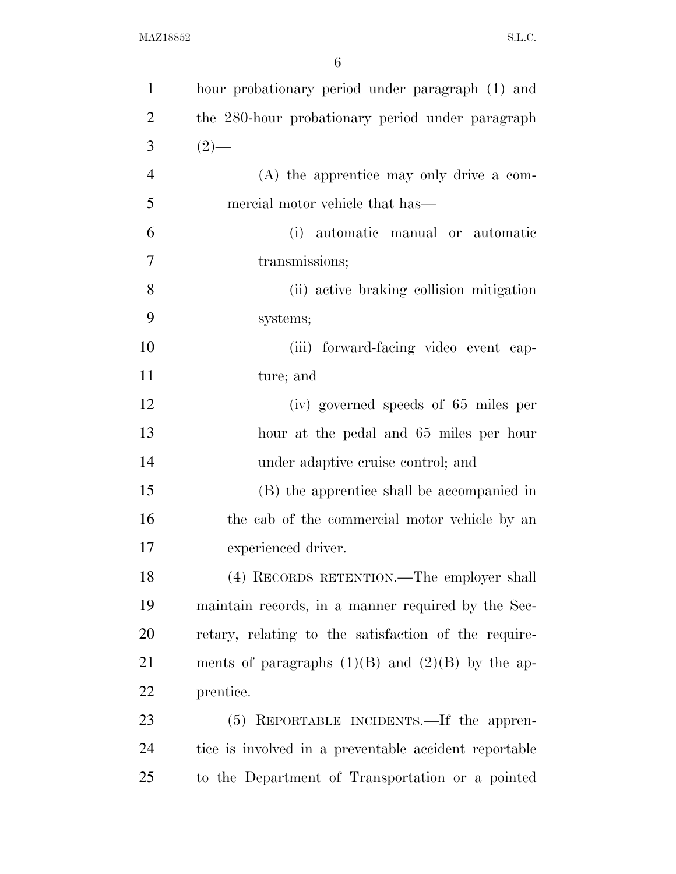| $\mathbf{1}$   | hour probationary period under paragraph (1) and      |
|----------------|-------------------------------------------------------|
| $\overline{2}$ | the 280-hour probationary period under paragraph      |
| 3              | $(2)$ —                                               |
| $\overline{4}$ | $(A)$ the apprentice may only drive a com-            |
| 5              | mercial motor vehicle that has—                       |
| 6              | (i) automatic manual or automatic                     |
| 7              | transmissions;                                        |
| 8              | (ii) active braking collision mitigation              |
| 9              | systems;                                              |
| 10             | (iii) forward-facing video event cap-                 |
| 11             | ture; and                                             |
| 12             | (iv) governed speeds of 65 miles per                  |
| 13             | hour at the pedal and 65 miles per hour               |
| 14             | under adaptive cruise control; and                    |
| 15             | (B) the apprentice shall be accompanied in            |
| 16             | the cab of the commercial motor vehicle by an         |
| 17             | experienced driver.                                   |
| 18             | (4) RECORDS RETENTION.—The employer shall             |
| 19             | maintain records, in a manner required by the Sec-    |
| 20             | retary, relating to the satisfaction of the require-  |
| 21             | ments of paragraphs $(1)(B)$ and $(2)(B)$ by the ap-  |
| 22             | prentice.                                             |
| 23             | (5) REPORTABLE INCIDENTS.—If the appren-              |
| 24             | tice is involved in a preventable accident reportable |
| 25             | to the Department of Transportation or a pointed      |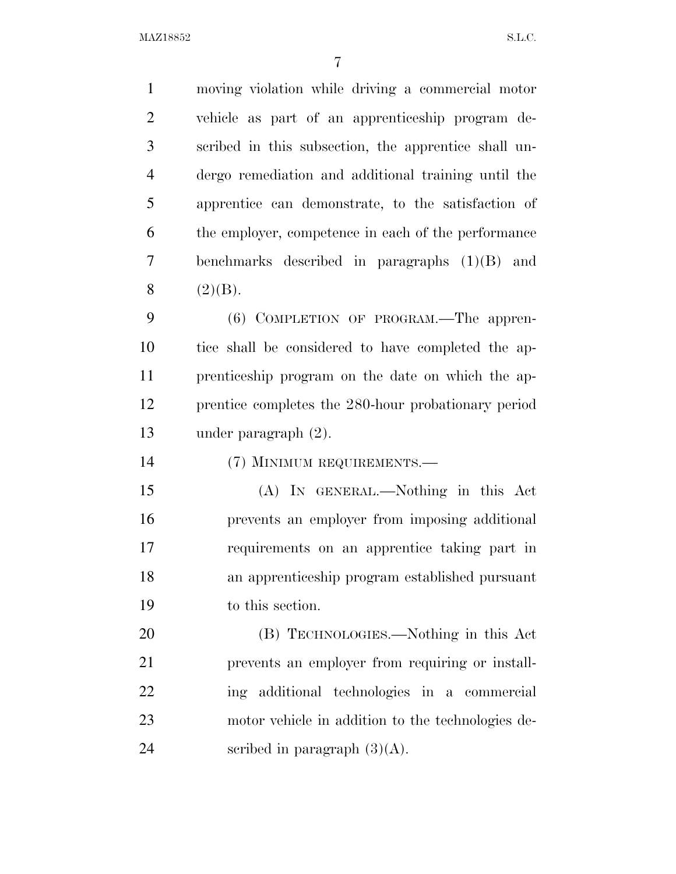$\text{MAZ18852}$  S.L.C.

 moving violation while driving a commercial motor vehicle as part of an apprenticeship program de- scribed in this subsection, the apprentice shall un- dergo remediation and additional training until the apprentice can demonstrate, to the satisfaction of the employer, competence in each of the performance benchmarks described in paragraphs (1)(B) and 8  $(2)(B)$ . (6) COMPLETION OF PROGRAM.—The appren- tice shall be considered to have completed the ap- prenticeship program on the date on which the ap- prentice completes the 280-hour probationary period under paragraph (2). (7) MINIMUM REQUIREMENTS.— (A) IN GENERAL.—Nothing in this Act prevents an employer from imposing additional requirements on an apprentice taking part in an apprenticeship program established pursuant to this section. (B) TECHNOLOGIES.—Nothing in this Act

 prevents an employer from requiring or install- ing additional technologies in a commercial motor vehicle in addition to the technologies de-24 seribed in paragraph  $(3)(A)$ .